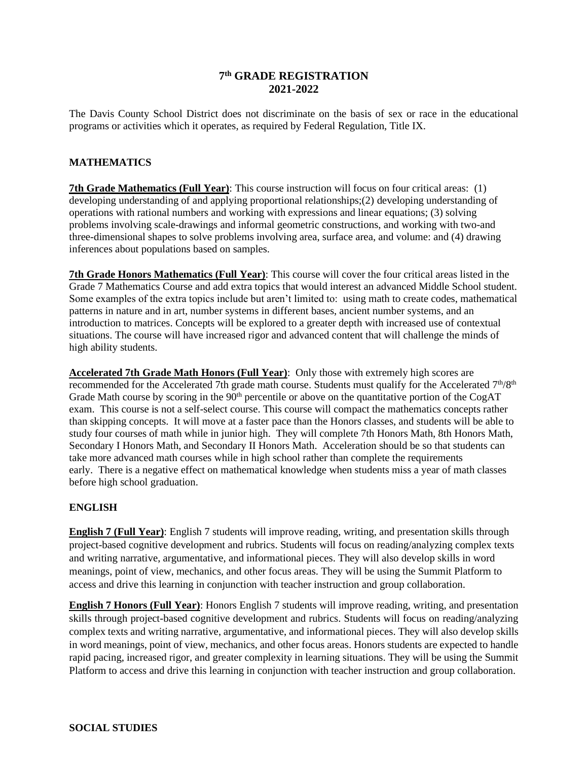# **7 th GRADE REGISTRATION 2021-2022**

The Davis County School District does not discriminate on the basis of sex or race in the educational programs or activities which it operates, as required by Federal Regulation, Title IX.

#### **MATHEMATICS**

**7th Grade Mathematics (Full Year)**: This course instruction will focus on four critical areas: (1) developing understanding of and applying proportional relationships;(2) developing understanding of operations with rational numbers and working with expressions and linear equations; (3) solving problems involving scale-drawings and informal geometric constructions, and working with two-and three-dimensional shapes to solve problems involving area, surface area, and volume: and (4) drawing inferences about populations based on samples.

**7th Grade Honors Mathematics (Full Year)**: This course will cover the four critical areas listed in the Grade 7 Mathematics Course and add extra topics that would interest an advanced Middle School student. Some examples of the extra topics include but aren't limited to: using math to create codes, mathematical patterns in nature and in art, number systems in different bases, ancient number systems, and an introduction to matrices. Concepts will be explored to a greater depth with increased use of contextual situations. The course will have increased rigor and advanced content that will challenge the minds of high ability students.

**Accelerated 7th Grade Math Honors (Full Year)**: Only those with extremely high scores are recommended for the Accelerated 7th grade math course. Students must qualify for the Accelerated 7<sup>th</sup>/8<sup>th</sup> Grade Math course by scoring in the 90<sup>th</sup> percentile or above on the quantitative portion of the CogAT exam. This course is not a self-select course. This course will compact the mathematics concepts rather than skipping concepts. It will move at a faster pace than the Honors classes, and students will be able to study four courses of math while in junior high. They will complete 7th Honors Math, 8th Honors Math, Secondary I Honors Math, and Secondary II Honors Math. Acceleration should be so that students can take more advanced math courses while in high school rather than complete the requirements early. There is a negative effect on mathematical knowledge when students miss a year of math classes before high school graduation.

### **ENGLISH**

**English 7 (Full Year)**: English 7 students will improve reading, writing, and presentation skills through project-based cognitive development and rubrics. Students will focus on reading/analyzing complex texts and writing narrative, argumentative, and informational pieces. They will also develop skills in word meanings, point of view, mechanics, and other focus areas. They will be using the Summit Platform to access and drive this learning in conjunction with teacher instruction and group collaboration.

**English 7 Honors (Full Year)**: Honors English 7 students will improve reading, writing, and presentation skills through project-based cognitive development and rubrics. Students will focus on reading/analyzing complex texts and writing narrative, argumentative, and informational pieces. They will also develop skills in word meanings, point of view, mechanics, and other focus areas. Honors students are expected to handle rapid pacing, increased rigor, and greater complexity in learning situations. They will be using the Summit Platform to access and drive this learning in conjunction with teacher instruction and group collaboration.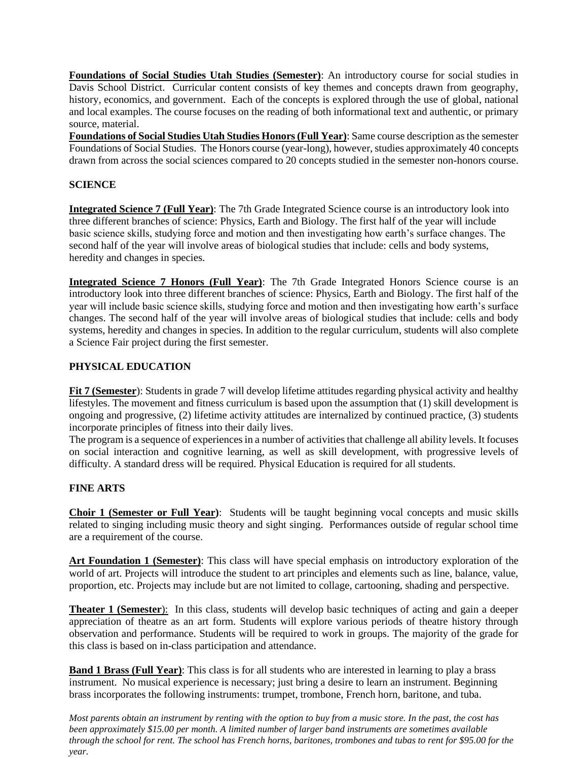**Foundations of Social Studies Utah Studies (Semester)**: An introductory course for social studies in Davis School District. Curricular content consists of key themes and concepts drawn from geography, history, economics, and government. Each of the concepts is explored through the use of global, national and local examples. The course focuses on the reading of both informational text and authentic, or primary source, material.

**Foundations of Social Studies Utah Studies Honors (Full Year)**: Same course description as the semester Foundations of Social Studies. The Honors course (year-long), however, studies approximately 40 concepts drawn from across the social sciences compared to 20 concepts studied in the semester non-honors course.

# **SCIENCE**

**Integrated Science 7 (Full Year)**: The 7th Grade Integrated Science course is an introductory look into three different branches of science: Physics, Earth and Biology. The first half of the year will include basic science skills, studying force and motion and then investigating how earth's surface changes. The second half of the year will involve areas of biological studies that include: cells and body systems, heredity and changes in species.

**Integrated Science 7 Honors (Full Year)**: The 7th Grade Integrated Honors Science course is an introductory look into three different branches of science: Physics, Earth and Biology. The first half of the year will include basic science skills, studying force and motion and then investigating how earth's surface changes. The second half of the year will involve areas of biological studies that include: cells and body systems, heredity and changes in species. In addition to the regular curriculum, students will also complete a Science Fair project during the first semester.

### **PHYSICAL EDUCATION**

**Fit 7 (Semester**): Students in grade 7 will develop lifetime attitudes regarding physical activity and healthy lifestyles. The movement and fitness curriculum is based upon the assumption that (1) skill development is ongoing and progressive, (2) lifetime activity attitudes are internalized by continued practice, (3) students incorporate principles of fitness into their daily lives.

The program is a sequence of experiences in a number of activities that challenge all ability levels. It focuses on social interaction and cognitive learning, as well as skill development, with progressive levels of difficulty. A standard dress will be required. Physical Education is required for all students.

### **FINE ARTS**

**Choir 1 (Semester or Full Year)**:Students will be taught beginning vocal concepts and music skills related to singing including music theory and sight singing. Performances outside of regular school time are a requirement of the course.

**Art Foundation 1 (Semester)**: This class will have special emphasis on introductory exploration of the world of art. Projects will introduce the student to art principles and elements such as line, balance, value, proportion, etc. Projects may include but are not limited to collage, cartooning, shading and perspective.

**Theater 1 (Semester**): In this class, students will develop basic techniques of acting and gain a deeper appreciation of theatre as an art form. Students will explore various periods of theatre history through observation and performance. Students will be required to work in groups. The majority of the grade for this class is based on in-class participation and attendance.

**Band 1 Brass (Full Year)**: This class is for all students who are interested in learning to play a brass instrument. No musical experience is necessary; just bring a desire to learn an instrument. Beginning brass incorporates the following instruments: trumpet, trombone, French horn, baritone, and tuba.

*Most parents obtain an instrument by renting with the option to buy from a music store. In the past, the cost has been approximately \$15.00 per month. A limited number of larger band instruments are sometimes available through the school for rent. The school has French horns, baritones, trombones and tubas to rent for \$95.00 for the year.*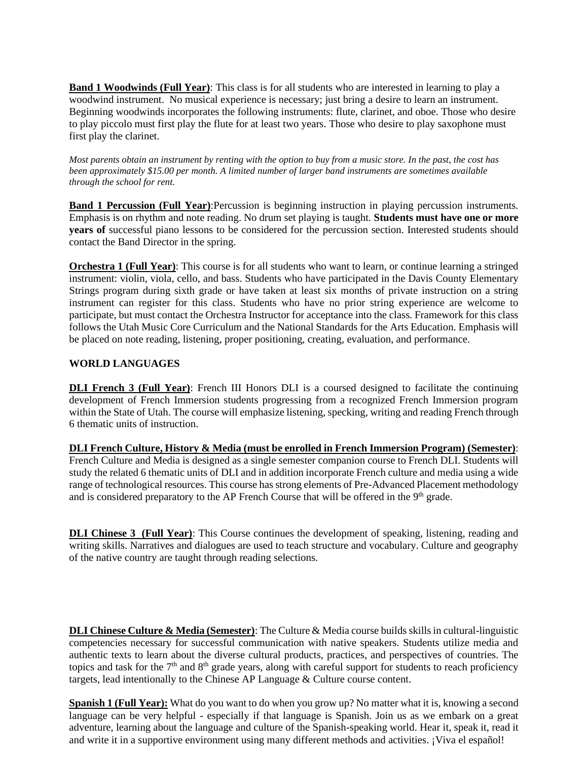**Band 1 Woodwinds (Full Year)**: This class is for all students who are interested in learning to play a woodwind instrument. No musical experience is necessary; just bring a desire to learn an instrument. Beginning woodwinds incorporates the following instruments: flute, clarinet, and oboe. Those who desire to play piccolo must first play the flute for at least two years. Those who desire to play saxophone must first play the clarinet.

*Most parents obtain an instrument by renting with the option to buy from a music store. In the past, the cost has been approximately \$15.00 per month. A limited number of larger band instruments are sometimes available through the school for rent.* 

**Band 1 Percussion (Full Year):**Percussion is beginning instruction in playing percussion instruments. Emphasis is on rhythm and note reading. No drum set playing is taught. **Students must have one or more years of** successful piano lessons to be considered for the percussion section. Interested students should contact the Band Director in the spring.

**Orchestra 1 (Full Year)**: This course is for all students who want to learn, or continue learning a stringed instrument: violin, viola, cello, and bass. Students who have participated in the Davis County Elementary Strings program during sixth grade or have taken at least six months of private instruction on a string instrument can register for this class. Students who have no prior string experience are welcome to participate, but must contact the Orchestra Instructor for acceptance into the class. Framework for this class follows the Utah Music Core Curriculum and the National Standards for the Arts Education. Emphasis will be placed on note reading, listening, proper positioning, creating, evaluation, and performance.

### **WORLD LANGUAGES**

**DLI French 3 (Full Year)**: French III Honors DLI is a coursed designed to facilitate the continuing development of French Immersion students progressing from a recognized French Immersion program within the State of Utah. The course will emphasize listening, specking, writing and reading French through 6 thematic units of instruction.

**DLI French Culture, History & Media (must be enrolled in French Immersion Program) (Semester)**: French Culture and Media is designed as a single semester companion course to French DLI. Students will study the related 6 thematic units of DLI and in addition incorporate French culture and media using a wide range of technological resources. This course has strong elements of Pre-Advanced Placement methodology and is considered preparatory to the AP French Course that will be offered in the 9<sup>th</sup> grade.

**DLI Chinese 3 (Full Year)**: This Course continues the development of speaking, listening, reading and writing skills. Narratives and dialogues are used to teach structure and vocabulary. Culture and geography of the native country are taught through reading selections.

**DLI Chinese Culture & Media (Semester)**: The Culture & Media course builds skills in cultural-linguistic competencies necessary for successful communication with native speakers. Students utilize media and authentic texts to learn about the diverse cultural products, practices, and perspectives of countries. The topics and task for the  $7<sup>th</sup>$  and  $8<sup>th</sup>$  grade years, along with careful support for students to reach proficiency targets, lead intentionally to the Chinese AP Language & Culture course content.

**Spanish 1 (Full Year):** What do you want to do when you grow up? No matter what it is, knowing a second language can be very helpful - especially if that language is Spanish. Join us as we embark on a great adventure, learning about the language and culture of the Spanish-speaking world. Hear it, speak it, read it and write it in a supportive environment using many different methods and activities. ¡Viva el español!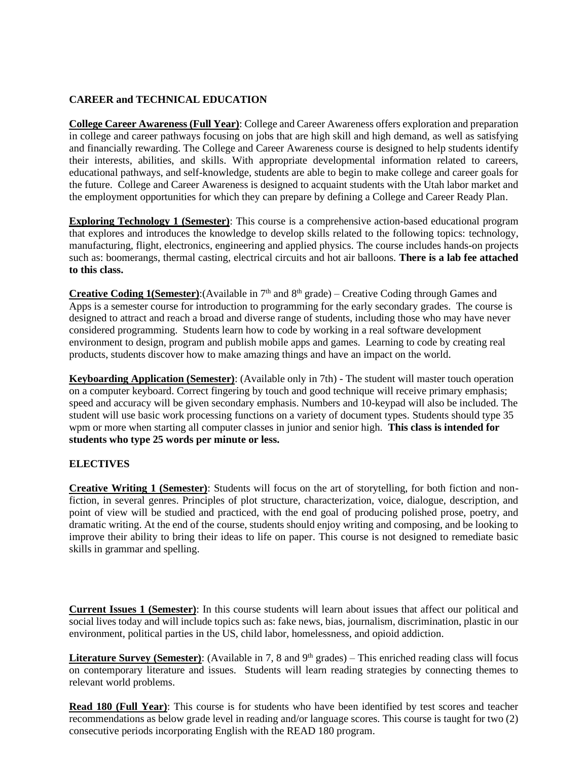# **CAREER and TECHNICAL EDUCATION**

**College Career Awareness (Full Year)**: College and Career Awareness offers exploration and preparation in college and career pathways focusing on jobs that are high skill and high demand, as well as satisfying and financially rewarding. The College and Career Awareness course is designed to help students identify their interests, abilities, and skills. With appropriate developmental information related to careers, educational pathways, and self-knowledge, students are able to begin to make college and career goals for the future. College and Career Awareness is designed to acquaint students with the Utah labor market and the employment opportunities for which they can prepare by defining a College and Career Ready Plan.

**Exploring Technology 1 (Semester)**: This course is a comprehensive action-based educational program that explores and introduces the knowledge to develop skills related to the following topics: technology, manufacturing, flight, electronics, engineering and applied physics. The course includes hands-on projects such as: boomerangs, thermal casting, electrical circuits and hot air balloons. **There is a lab fee attached to this class.**

**Creative Coding 1(Semester):**(Available in  $7<sup>th</sup>$  and  $8<sup>th</sup>$  grade) – Creative Coding through Games and Apps is a semester course for introduction to programming for the early secondary grades. The course is designed to attract and reach a broad and diverse range of students, including those who may have never considered programming. Students learn how to code by working in a real software development environment to design, program and publish mobile apps and games. Learning to code by creating real products, students discover how to make amazing things and have an impact on the world.

**Keyboarding Application (Semester)**: (Available only in 7th) - The student will master touch operation on a computer keyboard. Correct fingering by touch and good technique will receive primary emphasis; speed and accuracy will be given secondary emphasis. Numbers and 10-keypad will also be included. The student will use basic work processing functions on a variety of document types. Students should type 35 wpm or more when starting all computer classes in junior and senior high. **This class is intended for students who type 25 words per minute or less.**

### **ELECTIVES**

**Creative Writing 1 (Semester)**: Students will focus on the art of storytelling, for both fiction and nonfiction, in several genres. Principles of plot structure, characterization, voice, dialogue, description, and point of view will be studied and practiced, with the end goal of producing polished prose, poetry, and dramatic writing. At the end of the course, students should enjoy writing and composing, and be looking to improve their ability to bring their ideas to life on paper. This course is not designed to remediate basic skills in grammar and spelling.

**Current Issues 1 (Semester)**: In this course students will learn about issues that affect our political and social lives today and will include topics such as: fake news, bias, journalism, discrimination, plastic in our environment, political parties in the US, child labor, homelessness, and opioid addiction.

**Literature Survey (Semester):** (Available in 7, 8 and  $9<sup>th</sup>$  grades) – This enriched reading class will focus on contemporary literature and issues. Students will learn reading strategies by connecting themes to relevant world problems.

**Read 180 (Full Year)**: This course is for students who have been identified by test scores and teacher recommendations as below grade level in reading and/or language scores. This course is taught for two (2) consecutive periods incorporating English with the READ 180 program.